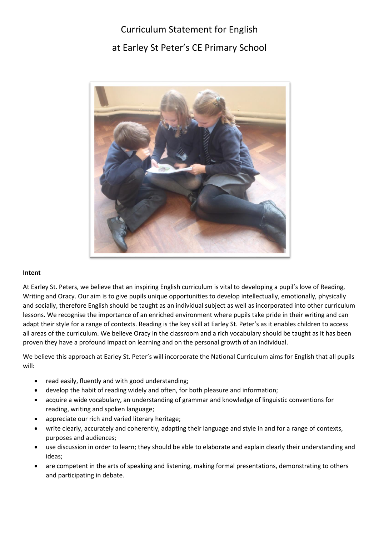# Curriculum Statement for English at Earley St Peter's CE Primary School



# **Intent**

At Earley St. Peters, we believe that an inspiring English curriculum is vital to developing a pupil's love of Reading, Writing and Oracy. Our aim is to give pupils unique opportunities to develop intellectually, emotionally, physically and socially, therefore English should be taught as an individual subject as well as incorporated into other curriculum lessons. We recognise the importance of an enriched environment where pupils take pride in their writing and can adapt their style for a range of contexts. Reading is the key skill at Earley St. Peter's as it enables children to access all areas of the curriculum. We believe Oracy in the classroom and a rich vocabulary should be taught as it has been proven they have a profound impact on learning and on the personal growth of an individual.

We believe this approach at Earley St. Peter's will incorporate the National Curriculum aims for English that all pupils will:

- read easily, fluently and with good understanding;
- develop the habit of reading widely and often, for both pleasure and information;
- acquire a wide vocabulary, an understanding of grammar and knowledge of linguistic conventions for reading, writing and spoken language;
- appreciate our rich and varied literary heritage;
- write clearly, accurately and coherently, adapting their language and style in and for a range of contexts, purposes and audiences;
- use discussion in order to learn; they should be able to elaborate and explain clearly their understanding and ideas;
- are competent in the arts of speaking and listening, making formal presentations, demonstrating to others and participating in debate.